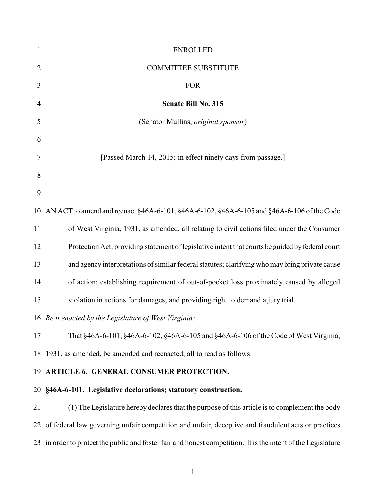| 1              | <b>ENROLLED</b>                                                                                               |
|----------------|---------------------------------------------------------------------------------------------------------------|
| $\overline{2}$ | <b>COMMITTEE SUBSTITUTE</b>                                                                                   |
| 3              | <b>FOR</b>                                                                                                    |
| $\overline{4}$ | Senate Bill No. 315                                                                                           |
| 5              | (Senator Mullins, original sponsor)                                                                           |
| 6              |                                                                                                               |
| 7              | [Passed March 14, 2015; in effect ninety days from passage.]                                                  |
| 8              |                                                                                                               |
| 9              |                                                                                                               |
|                | 10 AN ACT to amend and reenact §46A-6-101, §46A-6-102, §46A-6-105 and §46A-6-106 of the Code                  |
| 11             | of West Virginia, 1931, as amended, all relating to civil actions filed under the Consumer                    |
| 12             | Protection Act; providing statement of legislative intent that courts be guided by federal court              |
| 13             | and agency interpretations of similar federal statutes; clarifying who may bring private cause                |
| 14             | of action; establishing requirement of out-of-pocket loss proximately caused by alleged                       |
| 15             | violation in actions for damages; and providing right to demand a jury trial.                                 |
|                | 16 Be it enacted by the Legislature of West Virginia:                                                         |
| 17             | That §46A-6-101, §46A-6-102, §46A-6-105 and §46A-6-106 of the Code of West Virginia,                          |
|                | 18 1931, as amended, be amended and reenacted, all to read as follows:                                        |
|                | 19 ARTICLE 6. GENERAL CONSUMER PROTECTION.                                                                    |
|                | 20 §46A-6-101. Legislative declarations; statutory construction.                                              |
| 21             | (1) The Legislature hereby declares that the purpose of this article is to complement the body                |
| 22             | of federal law governing unfair competition and unfair, deceptive and fraudulent acts or practices            |
|                | 23 in order to protect the public and foster fair and honest competition. It is the intent of the Legislature |
|                |                                                                                                               |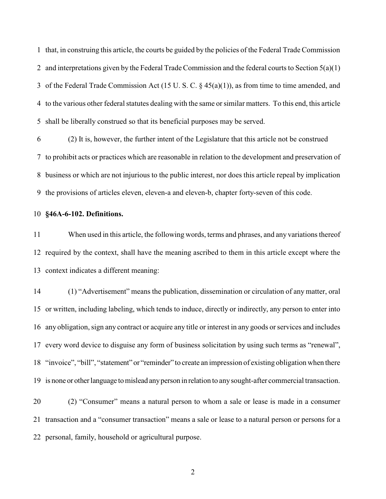that, in construing this article, the courts be guided by the policies of the Federal Trade Commission 2 and interpretations given by the Federal Trade Commission and the federal courts to Section  $5(a)(1)$  of the Federal Trade Commission Act (15 U. S. C. § 45(a)(1)), as from time to time amended, and to the various other federal statutes dealing with the same or similar matters. To this end, this article shall be liberally construed so that its beneficial purposes may be served.

 (2) It is, however, the further intent of the Legislature that this article not be construed to prohibit acts or practices which are reasonable in relation to the development and preservation of business or which are not injurious to the public interest, nor does this article repeal by implication the provisions of articles eleven, eleven-a and eleven-b, chapter forty-seven of this code.

## **§46A-6-102. Definitions.**

 When used in this article, the following words, terms and phrases, and any variations thereof required by the context, shall have the meaning ascribed to them in this article except where the context indicates a different meaning:

 (1) "Advertisement" means the publication, dissemination or circulation of any matter, oral or written, including labeling, which tends to induce, directly or indirectly, any person to enter into any obligation, sign any contract or acquire any title or interest in any goods or services and includes every word device to disguise any form of business solicitation by using such terms as "renewal", "invoice", "bill", "statement" or "reminder" to create an impression of existing obligation when there is none or otherlanguage tomislead anyperson in relation to anysought-after commercial transaction.

 (2) "Consumer" means a natural person to whom a sale or lease is made in a consumer transaction and a "consumer transaction" means a sale or lease to a natural person or persons for a personal, family, household or agricultural purpose.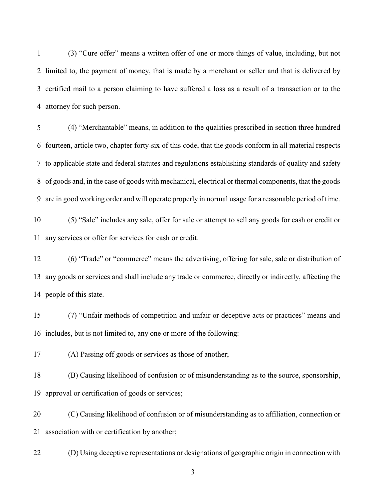(3) "Cure offer" means a written offer of one or more things of value, including, but not limited to, the payment of money, that is made by a merchant or seller and that is delivered by certified mail to a person claiming to have suffered a loss as a result of a transaction or to the attorney for such person.

 (4) "Merchantable" means, in addition to the qualities prescribed in section three hundred fourteen, article two, chapter forty-six of this code, that the goods conform in all material respects to applicable state and federal statutes and regulations establishing standards of quality and safety of goods and, in the case of goods with mechanical, electrical or thermal components, that the goods are in good working order and will operate properly in normal usage for a reasonable period of time.

 (5) "Sale" includes any sale, offer for sale or attempt to sell any goods for cash or credit or any services or offer for services for cash or credit.

 (6) "Trade" or "commerce" means the advertising, offering for sale, sale or distribution of any goods or services and shall include any trade or commerce, directly or indirectly, affecting the people of this state.

 (7) "Unfair methods of competition and unfair or deceptive acts or practices" means and includes, but is not limited to, any one or more of the following:

(A) Passing off goods or services as those of another;

 (B) Causing likelihood of confusion or of misunderstanding as to the source, sponsorship, approval or certification of goods or services;

 (C) Causing likelihood of confusion or of misunderstanding as to affiliation, connection or association with or certification by another;

(D) Using deceptive representations or designations of geographic origin in connection with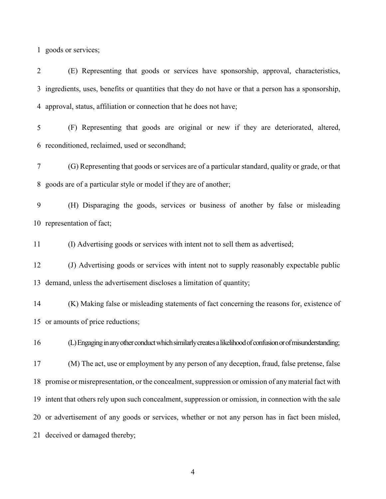goods or services;

 (E) Representing that goods or services have sponsorship, approval, characteristics, ingredients, uses, benefits or quantities that they do not have or that a person has a sponsorship, approval, status, affiliation or connection that he does not have;

 (F) Representing that goods are original or new if they are deteriorated, altered, reconditioned, reclaimed, used or secondhand;

 (G) Representing that goods or services are of a particular standard, quality or grade, or that goods are of a particular style or model if they are of another;

 (H) Disparaging the goods, services or business of another by false or misleading representation of fact;

(I) Advertising goods or services with intent not to sell them as advertised;

 (J) Advertising goods or services with intent not to supply reasonably expectable public demand, unless the advertisement discloses a limitation of quantity;

 (K) Making false or misleading statements of fact concerning the reasons for, existence of or amounts of price reductions;

16 (L) Engaging in any other conduct which similarly creates a likelihood of confusion or of misunderstanding;

 (M) The act, use or employment by any person of any deception, fraud, false pretense, false promise or misrepresentation, or the concealment, suppression or omission of anymaterial fact with intent that others rely upon such concealment, suppression or omission, in connection with the sale or advertisement of any goods or services, whether or not any person has in fact been misled, deceived or damaged thereby;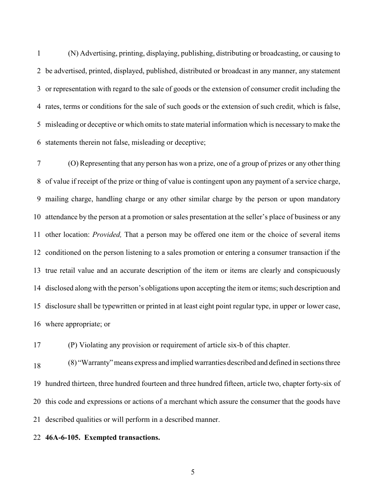(N) Advertising, printing, displaying, publishing, distributing or broadcasting, or causing to be advertised, printed, displayed, published, distributed or broadcast in any manner, any statement or representation with regard to the sale of goods or the extension of consumer credit including the rates, terms or conditions for the sale of such goods or the extension of such credit, which is false, misleading or deceptive or which omits to state material information which is necessary to make the statements therein not false, misleading or deceptive;

 (O) Representing that any person has won a prize, one of a group of prizes or any other thing of value if receipt of the prize or thing of value is contingent upon any payment of a service charge, mailing charge, handling charge or any other similar charge by the person or upon mandatory attendance by the person at a promotion or sales presentation at the seller's place of business or any other location: *Provided,* That a person may be offered one item or the choice of several items conditioned on the person listening to a sales promotion or entering a consumer transaction if the true retail value and an accurate description of the item or items are clearly and conspicuously disclosed along with the person's obligations upon accepting the item or items; such description and disclosure shall be typewritten or printed in at least eight point regular type, in upper or lower case, where appropriate; or

(P) Violating any provision or requirement of article six-b of this chapter.

(8) "Warranty" means express and implied warranties described and defined in sections three hundred thirteen, three hundred fourteen and three hundred fifteen, article two, chapter forty-six of this code and expressions or actions of a merchant which assure the consumer that the goods have described qualities or will perform in a described manner.

## **46A-6-105. Exempted transactions.**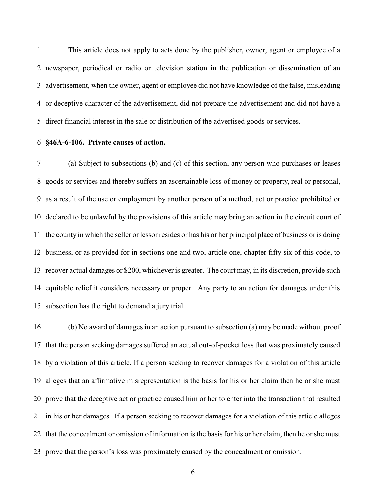This article does not apply to acts done by the publisher, owner, agent or employee of a newspaper, periodical or radio or television station in the publication or dissemination of an advertisement, when the owner, agent or employee did not have knowledge of the false, misleading or deceptive character of the advertisement, did not prepare the advertisement and did not have a direct financial interest in the sale or distribution of the advertised goods or services.

## **§46A-6-106. Private causes of action.**

 (a) Subject to subsections (b) and (c) of this section, any person who purchases or leases goods or services and thereby suffers an ascertainable loss of money or property, real or personal, as a result of the use or employment by another person of a method, act or practice prohibited or declared to be unlawful by the provisions of this article may bring an action in the circuit court of the county in which the seller or lessor resides or has his or her principal place of business or is doing business, or as provided for in sections one and two, article one, chapter fifty-six of this code, to recover actual damages or \$200, whichever is greater. The court may, in its discretion, provide such equitable relief it considers necessary or proper. Any party to an action for damages under this subsection has the right to demand a jury trial.

 (b) No award of damages in an action pursuant to subsection (a) may be made without proof that the person seeking damages suffered an actual out-of-pocket loss that was proximately caused by a violation of this article. If a person seeking to recover damages for a violation of this article alleges that an affirmative misrepresentation is the basis for his or her claim then he or she must prove that the deceptive act or practice caused him or her to enter into the transaction that resulted in his or her damages. If a person seeking to recover damages for a violation of this article alleges that the concealment or omission of information is the basis for his or her claim, then he or she must prove that the person's loss was proximately caused by the concealment or omission.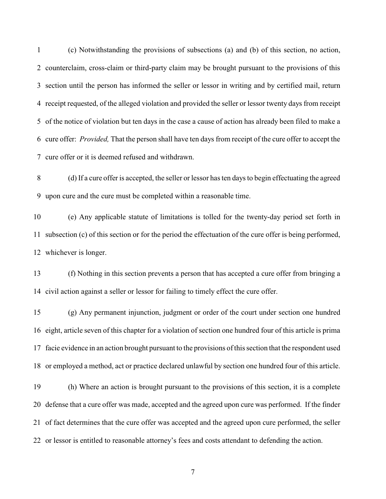(c) Notwithstanding the provisions of subsections (a) and (b) of this section, no action, counterclaim, cross-claim or third-party claim may be brought pursuant to the provisions of this section until the person has informed the seller or lessor in writing and by certified mail, return receipt requested, of the alleged violation and provided the seller or lessor twenty days from receipt of the notice of violation but ten days in the case a cause of action has already been filed to make a cure offer: *Provided,* That the person shall have ten days from receipt of the cure offer to accept the cure offer or it is deemed refused and withdrawn.

 (d) If a cure offer is accepted, the seller or lessor has ten days to begin effectuating the agreed upon cure and the cure must be completed within a reasonable time.

 (e) Any applicable statute of limitations is tolled for the twenty-day period set forth in subsection (c) of this section or for the period the effectuation of the cure offer is being performed, whichever is longer.

 (f) Nothing in this section prevents a person that has accepted a cure offer from bringing a civil action against a seller or lessor for failing to timely effect the cure offer.

 (g) Any permanent injunction, judgment or order of the court under section one hundred eight, article seven of this chapter for a violation of section one hundred four of this article is prima facie evidence in an action brought pursuant to the provisions of this section that the respondent used or employed a method, act or practice declared unlawful by section one hundred four of this article.

 (h) Where an action is brought pursuant to the provisions of this section, it is a complete defense that a cure offer was made, accepted and the agreed upon cure was performed. If the finder of fact determines that the cure offer was accepted and the agreed upon cure performed, the seller or lessor is entitled to reasonable attorney's fees and costs attendant to defending the action.